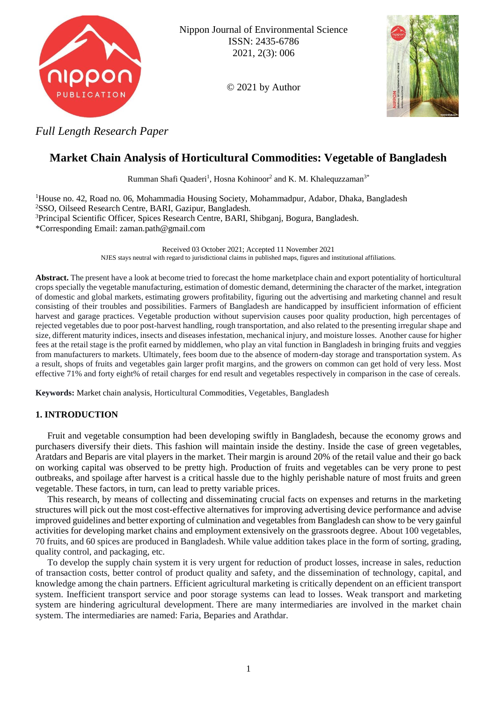

Nippon Journal of Environmental Science ISSN: 2435-6786 2021, 2(3): 006

© 2021 by Author



*Full Length Research Paper*

# **Market Chain Analysis of Horticultural Commodities: Vegetable of Bangladesh**

Rumman Shafi Quaderi<sup>1</sup>, Hosna Kohinoor<sup>2</sup> and K. M. Khalequzzaman<sup>3\*</sup>

House no. 42, Road no. 06, Mohammadia Housing Society, Mohammadpur, Adabor, Dhaka, Bangladesh SSO, Oilseed Research Centre, BARI, Gazipur, Bangladesh. Principal Scientific Officer, Spices Research Centre, BARI, Shibganj, Bogura, Bangladesh. \*Corresponding Email: zaman.path@gmail.com

> Received 03 October 2021; Accepted 11 November 2021 NJES stays neutral with regard to jurisdictional claims in published maps, figures and institutional affiliations.

**Abstract.** The present have a look at become tried to forecast the home marketplace chain and export potentiality of horticultural crops specially the vegetable manufacturing, estimation of domestic demand, determining the character of the market, integration of domestic and global markets, estimating growers profitability, figuring out the advertising and marketing channel and result consisting of their troubles and possibilities. Farmers of Bangladesh are handicapped by insufficient information of efficient harvest and garage practices. Vegetable production without supervision causes poor quality production, high percentages of rejected vegetables due to poor post-harvest handling, rough transportation, and also related to the presenting irregular shape and size, different maturity indices, insects and diseases infestation, mechanical injury, and moisture losses. Another cause for higher fees at the retail stage is the profit earned by middlemen, who play an vital function in Bangladesh in bringing fruits and veggies from manufacturers to markets. Ultimately, fees boom due to the absence of modern-day storage and transportation system. As a result, shops of fruits and vegetables gain larger profit margins, and the growers on common can get hold of very less. Most effective 71% and forty eight% of retail charges for end result and vegetables respectively in comparison in the case of cereals.

**Keywords:** Market chain analysis, Horticultural Commodities, Vegetables, Bangladesh

## **1. INTRODUCTION**

Fruit and vegetable consumption had been developing swiftly in Bangladesh, because the economy grows and purchasers diversify their diets. This fashion will maintain inside the destiny. Inside the case of green vegetables, Aratdars and Beparis are vital players in the market. Their margin is around 20% of the retail value and their go back on working capital was observed to be pretty high. Production of fruits and vegetables can be very prone to pest outbreaks, and spoilage after harvest is a critical hassle due to the highly perishable nature of most fruits and green vegetable. These factors, in turn, can lead to pretty variable prices.

This research, by means of collecting and disseminating crucial facts on expenses and returns in the marketing structures will pick out the most cost-effective alternatives for improving advertising device performance and advise improved guidelines and better exporting of culmination and vegetables from Bangladesh can show to be very gainful activities for developing market chains and employment extensively on the grassroots degree. About 100 vegetables, 70 fruits, and 60 spices are produced in Bangladesh. While value addition takes place in the form of sorting, grading, quality control, and packaging, etc.

To develop the supply chain system it is very urgent for reduction of product losses, increase in sales, reduction of transaction costs, better control of product quality and safety, and the dissemination of technology, capital, and knowledge among the chain partners. Efficient agricultural marketing is critically dependent on an efficient transport system. Inefficient transport service and poor storage systems can lead to losses. Weak transport and marketing system are hindering agricultural development. There are many intermediaries are involved in the market chain system. The intermediaries are named: Faria, Beparies and Arathdar.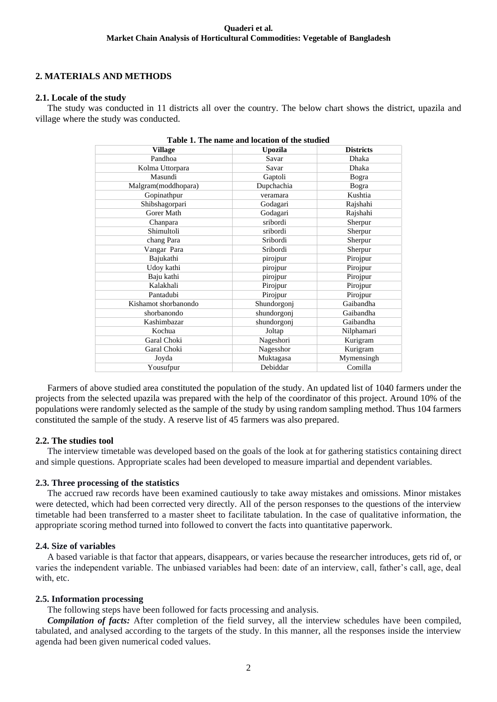## **2. MATERIALS AND METHODS**

## **2.1. Locale of the study**

The study was conducted in 11 districts all over the country. The below chart shows the district, upazila and village where the study was conducted.

| Table 1. The name and location of the studied |             |                  |  |  |  |
|-----------------------------------------------|-------------|------------------|--|--|--|
| <b>Village</b>                                | Upozila     | <b>Districts</b> |  |  |  |
| Pandhoa                                       | Savar       | <b>Dhaka</b>     |  |  |  |
| Kolma Uttorpara                               | Savar       | Dhaka            |  |  |  |
| Masundi                                       | Gaptoli     | Bogra            |  |  |  |
| Malgram(moddhopara)                           | Dupchachia  | Bogra            |  |  |  |
| Gopinathpur                                   | veramara    | Kushtia          |  |  |  |
| Shibshagorpari                                | Godagari    | Rajshahi         |  |  |  |
| Gorer Math                                    | Godagari    | Rajshahi         |  |  |  |
| Chanpara                                      | sribordi    | Sherpur          |  |  |  |
| Shimultoli                                    | sribordi    | Sherpur          |  |  |  |
| chang Para                                    | Sribordi    | Sherpur          |  |  |  |
| Vangar Para                                   | Sribordi    | Sherpur          |  |  |  |
| Bajukathi                                     | pirojpur    | Pirojpur         |  |  |  |
| Udoy kathi                                    | pirojpur    | Pirojpur         |  |  |  |
| Baju kathi                                    | pirojpur    | Pirojpur         |  |  |  |
| Kalakhali                                     | Pirojpur    | Pirojpur         |  |  |  |
| Pantadubi                                     | Pirojpur    | Pirojpur         |  |  |  |
| Kishamot shorbanondo                          | Shundorgonj | Gaibandha        |  |  |  |
| shorbanondo                                   | shundorgonj | Gaibandha        |  |  |  |
| Kashimbazar                                   | shundorgonj | Gaibandha        |  |  |  |
| Kochua                                        | Joltap      | Nilphamari       |  |  |  |
| Garal Choki                                   | Nageshori   | Kurigram         |  |  |  |
| Garal Choki                                   | Nagesshor   | Kurigram         |  |  |  |
| Joyda                                         | Muktagasa   | Mymensingh       |  |  |  |
| Yousufpur                                     | Debiddar    | Comilla          |  |  |  |
|                                               |             |                  |  |  |  |

Farmers of above studied area constituted the population of the study. An updated list of 1040 farmers under the projects from the selected upazila was prepared with the help of the coordinator of this project. Around 10% of the populations were randomly selected as the sample of the study by using random sampling method. Thus 104 farmers constituted the sample of the study. A reserve list of 45 farmers was also prepared.

## **2.2. The studies tool**

The interview timetable was developed based on the goals of the look at for gathering statistics containing direct and simple questions. Appropriate scales had been developed to measure impartial and dependent variables.

## **2.3. Three processing of the statistics**

The accrued raw records have been examined cautiously to take away mistakes and omissions. Minor mistakes were detected, which had been corrected very directly. All of the person responses to the questions of the interview timetable had been transferred to a master sheet to facilitate tabulation. In the case of qualitative information, the appropriate scoring method turned into followed to convert the facts into quantitative paperwork.

## **2.4. Size of variables**

A based variable is that factor that appears, disappears, or varies because the researcher introduces, gets rid of, or varies the independent variable. The unbiased variables had been: date of an interview, call, father's call, age, deal with, etc.

## **2.5. Information processing**

The following steps have been followed for facts processing and analysis.

*Compilation of facts:* After completion of the field survey, all the interview schedules have been compiled, tabulated, and analysed according to the targets of the study. In this manner, all the responses inside the interview agenda had been given numerical coded values.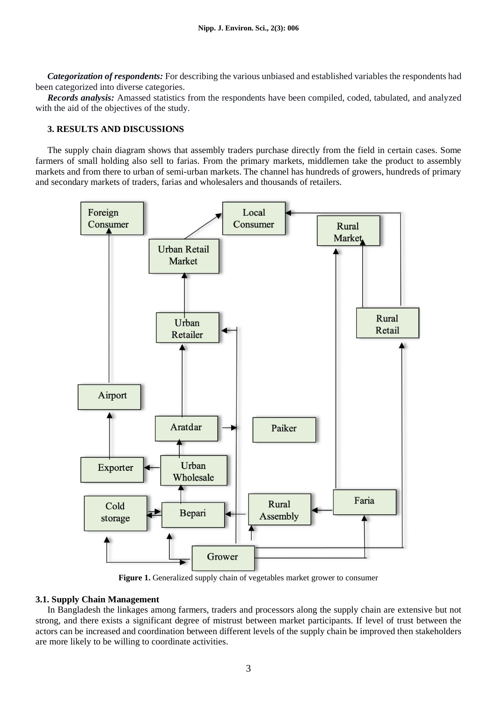*Categorization of respondents:* For describing the various unbiased and established variables the respondents had been categorized into diverse categories.

*Records analysis:* Amassed statistics from the respondents have been compiled, coded, tabulated, and analyzed with the aid of the objectives of the study.

## **3. RESULTS AND DISCUSSIONS**

The supply chain diagram shows that assembly traders purchase directly from the field in certain cases. Some farmers of small holding also sell to farias. From the primary markets, middlemen take the product to assembly markets and from there to urban of semi-urban markets. The channel has hundreds of growers, hundreds of primary and secondary markets of traders, farias and wholesalers and thousands of retailers.



**Figure 1.** Generalized supply chain of vegetables market grower to consumer

## **3.1. Supply Chain Management**

In Bangladesh the linkages among farmers, traders and processors along the supply chain are extensive but not strong, and there exists a significant degree of mistrust between market participants. If level of trust between the actors can be increased and coordination between different levels of the supply chain be improved then stakeholders are more likely to be willing to coordinate activities.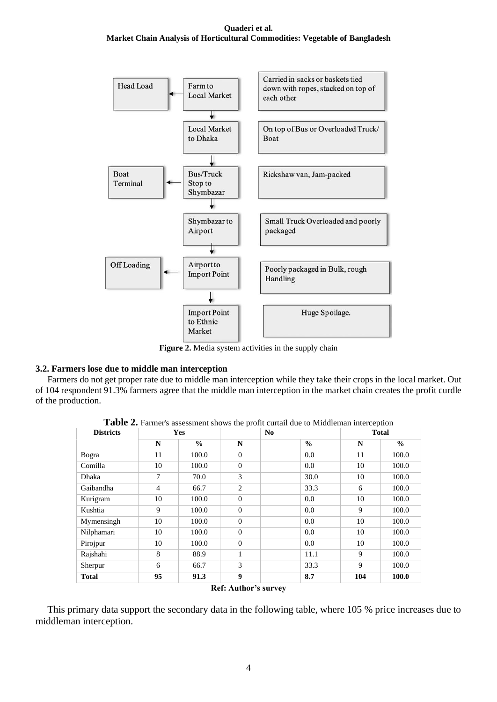

**Figure 2.** Media system activities in the supply chain

## **3.2. Farmers lose due to middle man interception**

Farmers do not get proper rate due to middle man interception while they take their crops in the local market. Out of 104 respondent 91.3% farmers agree that the middle man interception in the market chain creates the profit curdle of the production.

| <b>Districts</b> | <b>Yes</b>     |               |                  | N <sub>0</sub> | <b>Total</b> |               |
|------------------|----------------|---------------|------------------|----------------|--------------|---------------|
|                  | N              | $\frac{0}{0}$ | N                | $\frac{0}{0}$  | N            | $\frac{0}{0}$ |
| Bogra            | 11             | 100.0         | $\Omega$         | 0.0            | 11           | 100.0         |
| Comilla          | 10             | 100.0         | $\Omega$         | 0.0            | 10           | 100.0         |
| Dhaka            | 7              | 70.0          | 3                | 30.0           | 10           | 100.0         |
| Gaibandha        | $\overline{4}$ | 66.7          | $\overline{2}$   | 33.3           | 6            | 100.0         |
| Kurigram         | 10             | 100.0         | $\Omega$         | 0.0            | 10           | 100.0         |
| Kushtia          | 9              | 100.0         | $\Omega$         | 0.0            | 9            | 100.0         |
| Mymensingh       | 10             | 100.0         | $\Omega$         | 0.0            | 10           | 100.0         |
| Nilphamari       | 10             | 100.0         | $\Omega$         | 0.0            | 10           | 100.0         |
| Pirojpur         | 10             | 100.0         | $\Omega$         | 0.0            | 10           | 100.0         |
| Rajshahi         | 8              | 88.9          | 1                | 11.1           | 9            | 100.0         |
| Sherpur          | 6              | 66.7          | 3                | 33.3           | 9            | 100.0         |
| <b>Total</b>     | 95             | 91.3          | $\boldsymbol{Q}$ | 8.7            | 104          | 100.0         |

**Table 2.** Farmer's assessment shows the profit curtail due to Middleman interception

**Ref: Author's survey**

This primary data support the secondary data in the following table, where 105 % price increases due to middleman interception.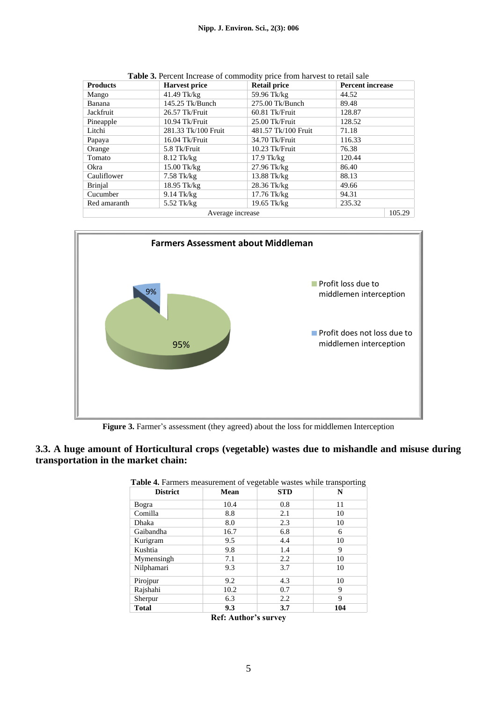| <b>Products</b>  | <b>Harvest price</b> | <u>ent mereuse of commount, price nom ma test to return</u><br><b>Retail price</b> | <b>Percent increase</b> |  |  |
|------------------|----------------------|------------------------------------------------------------------------------------|-------------------------|--|--|
| Mango            | $41.49$ Tk/kg        | 59.96 Tk/kg                                                                        | 44.52                   |  |  |
| Banana           | 145.25 Tk/Bunch      | 275.00 Tk/Bunch                                                                    | 89.48                   |  |  |
| Jackfruit        | 26.57 Tk/Fruit       | 60.81 Tk/Fruit                                                                     | 128.87                  |  |  |
| Pineapple        | 10.94 Tk/Fruit       | $25.00$ Tk/Fruit                                                                   | 128.52                  |  |  |
| Litchi           | 281.33 Tk/100 Fruit  | 481.57 Tk/100 Fruit                                                                | 71.18                   |  |  |
| Papaya           | 16.04 Tk/Fruit       | 34.70 Tk/Fruit                                                                     | 116.33                  |  |  |
| Orange           | 5.8 Tk/Fruit         | $10.23$ Tk/Fruit                                                                   | 76.38                   |  |  |
| Tomato           | $8.12$ Tk/kg         | $17.9$ Tk/kg                                                                       | 120.44                  |  |  |
| Okra             | $15.00$ Tk/kg        | $27.96$ Tk/kg                                                                      | 86.40                   |  |  |
| Cauliflower      | $7.58$ Tk/kg         | $13.88$ Tk/kg                                                                      | 88.13                   |  |  |
| <b>Brinjal</b>   | 18.95 Tk/kg          | $28.36$ Tk/kg                                                                      | 49.66                   |  |  |
| Cucumber         | $9.14$ Tk/kg         | $17.76$ Tk/kg                                                                      | 94.31                   |  |  |
| Red amaranth     | $5.52$ Tk/kg         | 19.65 Tk/kg                                                                        | 235.32                  |  |  |
| Average increase |                      |                                                                                    |                         |  |  |

**Table 3.** Percent Increase of commodity price from harvest to retail sale



**Figure 3.** Farmer's assessment (they agreed) about the loss for middlemen Interception

## **3.3. A huge amount of Horticultural crops (vegetable) wastes due to mishandle and misuse during transportation in the market chain:**

| <b>District</b> | <b>Mean</b> | <b>STD</b> | N   |
|-----------------|-------------|------------|-----|
| Bogra           | 10.4        | 0.8        | 11  |
| Comilla         | 8.8         | 2.1        | 10  |
| Dhaka           | 8.0         | 2.3        | 10  |
| Gaibandha       | 16.7        | 6.8        | 6   |
| Kurigram        | 9.5         | 4.4        | 10  |
| Kushtia         | 9.8         | 1.4        | 9   |
| Mymensingh      | 7.1         | 2.2        | 10  |
| Nilphamari      | 9.3         | 3.7        | 10  |
| Pirojpur        | 9.2         | 4.3        | 10  |
| Rajshahi        | 10.2        | 0.7        | 9   |
| Sherpur         | 6.3         | 2.2        | 9   |
| <b>Total</b>    | 9.3         | 3.7        | 104 |

| Table 4. Farmers measurement of vegetable wastes while transporting |  |
|---------------------------------------------------------------------|--|
|---------------------------------------------------------------------|--|

**Ref: Author's survey**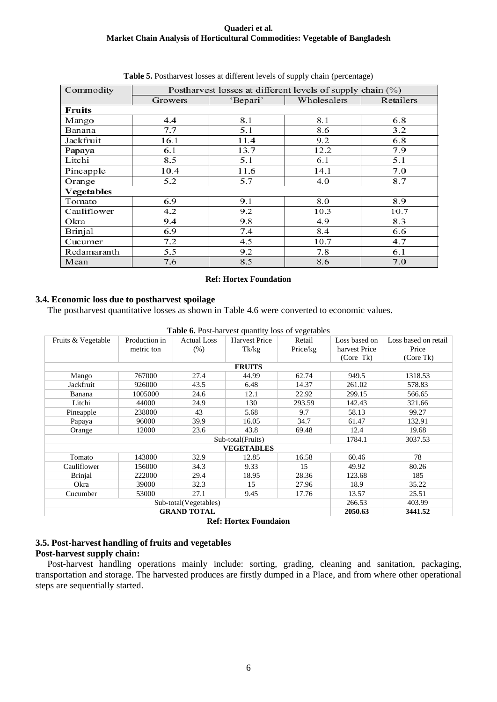| Commodity         |         | Postharvest losses at different levels of supply chain (%) |             |           |  |  |  |  |
|-------------------|---------|------------------------------------------------------------|-------------|-----------|--|--|--|--|
|                   | Growers | 'Bepari'                                                   | Wholesalers | Retailers |  |  |  |  |
| <b>Fruits</b>     |         |                                                            |             |           |  |  |  |  |
| Mango             | 4.4     | 8.1                                                        | 8.1         | 6.8       |  |  |  |  |
| Banana            | 7.7     | 5.1                                                        | 8.6         | 3.2       |  |  |  |  |
| Jackfruit         | 16.1    | 11.4                                                       | 9.2         | 6.8       |  |  |  |  |
| Papaya            | 6.1     | 13.7                                                       | 12.2        | 7.9       |  |  |  |  |
| Litchi            | 8.5     | 5.1                                                        | 6.1         | 5.1       |  |  |  |  |
| Pineapple         | 10.4    | 11.6                                                       | 14.1        | 7.0       |  |  |  |  |
| Orange            | 5.2     | 5.7                                                        | 4.0         | 8.7       |  |  |  |  |
| <b>Vegetables</b> |         |                                                            |             |           |  |  |  |  |
| Tomato            | 6.9     | 9.1                                                        | 8.0         | 8.9       |  |  |  |  |
| Cauliflower       | 4.2     | 9.2                                                        | 10.3        | 10.7      |  |  |  |  |
| Okra              | 9.4     | 9.8                                                        | 4.9         | 8.3       |  |  |  |  |
| Brinjal           | 6.9     | 7.4                                                        | 8.4         | 6.6       |  |  |  |  |
| Cucumer           | 7.2     | 4.5                                                        | 10.7        | 4.7       |  |  |  |  |
| Redamaranth       | 5.5     | 9.2                                                        | 7.8         | 6.1       |  |  |  |  |
| Mean              | 7.6     | 8.5                                                        | 8.6         | 7.0       |  |  |  |  |

## **Table 5.** Postharvest losses at different levels of supply chain (percentage)

### **Ref: Hortex Foundation**

## **3.4. Economic loss due to postharvest spoilage**

The postharvest quantitative losses as shown in Table 4.6 were converted to economic values.

| <b>Table 6.</b> Post-harvest quantity loss of vegetables |               |                       |                      |          |               |                      |  |
|----------------------------------------------------------|---------------|-----------------------|----------------------|----------|---------------|----------------------|--|
| Fruits & Vegetable                                       | Production in | <b>Actual Loss</b>    | <b>Harvest Price</b> | Retail   | Loss based on | Loss based on retail |  |
|                                                          | metric ton    | $(\% )$               | Tk/kg                | Price/kg | harvest Price | Price                |  |
|                                                          |               |                       |                      |          | (Core Tk)     | (Core Tk)            |  |
|                                                          | <b>FRUITS</b> |                       |                      |          |               |                      |  |
| Mango                                                    | 767000        | 27.4                  | 44.99                | 62.74    | 949.5         | 1318.53              |  |
| Jackfruit                                                | 926000        | 43.5                  | 6.48                 | 14.37    | 261.02        | 578.83               |  |
| Banana                                                   | 1005000       | 24.6                  | 12.1                 | 22.92    | 299.15        | 566.65               |  |
| Litchi                                                   | 44000         | 24.9                  | 130                  | 293.59   | 142.43        | 321.66               |  |
| Pineapple                                                | 238000        | 43                    | 5.68                 | 9.7      | 58.13         | 99.27                |  |
| Papaya                                                   | 96000         | 39.9                  | 16.05                | 34.7     | 61.47         | 132.91               |  |
| Orange                                                   | 12000         | 23.6                  | 43.8                 | 69.48    | 12.4          | 19.68                |  |
|                                                          |               |                       | Sub-total(Fruits)    |          | 1784.1        | 3037.53              |  |
|                                                          |               |                       | <b>VEGETABLES</b>    |          |               |                      |  |
| Tomato                                                   | 143000        | 32.9                  | 12.85                | 16.58    | 60.46         | 78                   |  |
| Cauliflower                                              | 156000        | 34.3                  | 9.33                 | 15       | 49.92         | 80.26                |  |
| <b>Brinial</b>                                           | 222000        | 29.4                  | 18.95                | 28.36    | 123.68        | 185                  |  |
| Okra                                                     | 39000         | 32.3                  | 15                   | 27.96    | 18.9          | 35.22                |  |
| Cucumber                                                 | 53000         | 27.1                  | 9.45                 | 17.76    | 13.57         | 25.51                |  |
|                                                          |               | Sub-total(Vegetables) |                      |          | 266.53        | 403.99               |  |
| <b>GRAND TOTAL</b><br>2050.63<br>3441.52                 |               |                       |                      |          |               |                      |  |

**Ref: Hortex Foundaion**

## **3.5. Post-harvest handling of fruits and vegetables**

## **Post-harvest supply chain:**

Post-harvest handling operations mainly include: sorting, grading, cleaning and sanitation, packaging, transportation and storage. The harvested produces are firstly dumped in a Place, and from where other operational steps are sequentially started.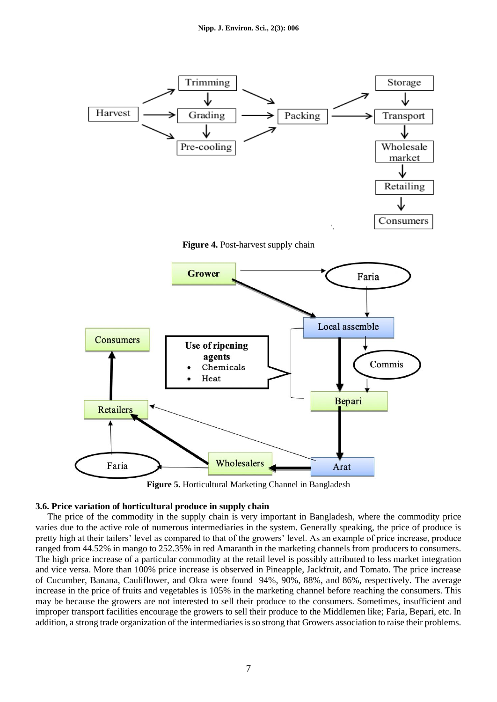

**Figure 5.** Horticultural Marketing Channel in Bangladesh

### **3.6. Price variation of horticultural produce in supply chain**

The price of the commodity in the supply chain is very important in Bangladesh, where the commodity price varies due to the active role of numerous intermediaries in the system. Generally speaking, the price of produce is pretty high at their tailers' level as compared to that of the growers' level. As an example of price increase, produce ranged from 44.52% in mango to 252.35% in red Amaranth in the marketing channels from producers to consumers. The high price increase of a particular commodity at the retail level is possibly attributed to less market integration and vice versa. More than 100% price increase is observed in Pineapple, Jackfruit, and Tomato. The price increase of Cucumber, Banana, Cauliflower, and Okra were found 94%, 90%, 88%, and 86%, respectively. The average increase in the price of fruits and vegetables is 105% in the marketing channel before reaching the consumers. This may be because the growers are not interested to sell their produce to the consumers. Sometimes, insufficient and improper transport facilities encourage the growers to sell their produce to the Middlemen like; Faria, Bepari, etc. In addition, a strong trade organization of the intermediaries is so strong that Growers association to raise their problems.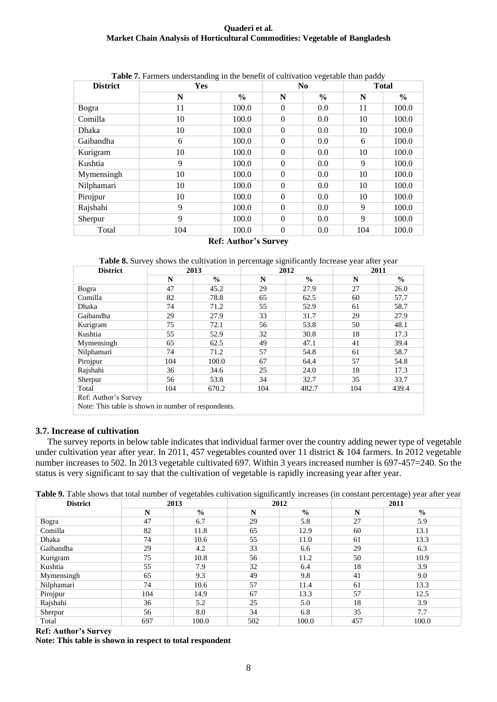| <b>District</b> | <b>Yes</b> |               |              | N <sub>0</sub> | <b>Total</b> |               |  |
|-----------------|------------|---------------|--------------|----------------|--------------|---------------|--|
|                 | N          | $\frac{6}{9}$ | N            | $\frac{6}{9}$  | N            | $\frac{6}{6}$ |  |
| Bogra           | 11         | 100.0         | $\theta$     | 0.0            | 11           | 100.0         |  |
| Comilla         | 10         | 100.0         | $\mathbf{0}$ | 0.0            | 10           | 100.0         |  |
| Dhaka           | 10         | 100.0         | $\theta$     | 0.0            | 10           | 100.0         |  |
| Gaibandha       | 6          | 100.0         | $\Omega$     | 0.0            | 6            | 100.0         |  |
| Kurigram        | 10         | 100.0         | $\Omega$     | 0.0            | 10           | 100.0         |  |
| Kushtia         | 9          | 100.0         | $\Omega$     | 0.0            | 9            | 100.0         |  |
| Mymensingh      | 10         | 100.0         | $\mathbf{0}$ | 0.0            | 10           | 100.0         |  |
| Nilphamari      | 10         | 100.0         | $\Omega$     | 0.0            | 10           | 100.0         |  |
| Pirojpur        | 10         | 100.0         | $\Omega$     | 0.0            | 10           | 100.0         |  |
| Rajshahi        | 9          | 100.0         | $\theta$     | 0.0            | 9            | 100.0         |  |
| Sherpur         | 9          | 100.0         | $\Omega$     | 0.0            | 9            | 100.0         |  |
| Total           | 104        | 100.0         | $\theta$     | 0.0            | 104          | 100.0         |  |

## **Table 7.** Farmers understanding in the benefit of cultivation vegetable than paddy

#### **Ref: Author's Survey**

**Table 8.** Survey shows the cultivation in percentage significantly Increase year after year

| <b>District</b>                                     | 2013 |               |     | 2012          | 2011 |               |  |
|-----------------------------------------------------|------|---------------|-----|---------------|------|---------------|--|
|                                                     | N    | $\frac{0}{0}$ | N   | $\frac{0}{0}$ | N    | $\frac{0}{0}$ |  |
| Bogra                                               | 47   | 45.2          | 29  | 27.9          | 27   | 26.0          |  |
| Comilla                                             | 82   | 78.8          | 65  | 62.5          | 60   | 57.7          |  |
| Dhaka                                               | 74   | 71.2          | 55  | 52.9          | 61   | 58.7          |  |
| Gaibandha                                           | 29   | 27.9          | 33  | 31.7          | 29   | 27.9          |  |
| Kurigram                                            | 75   | 72.1          | 56  | 53.8          | 50   | 48.1          |  |
| Kushtia                                             | 55   | 52.9          | 32  | 30.8          | 18   | 17.3          |  |
| Mymensingh                                          | 65   | 62.5          | 49  | 47.1          | 41   | 39.4          |  |
| Nilphamari                                          | 74   | 71.2          | 57  | 54.8          | 61   | 58.7          |  |
| Pirojpur                                            | 104  | 100.0         | 67  | 64.4          | 57   | 54.8          |  |
| Rajshahi                                            | 36   | 34.6          | 25  | 24.0          | 18   | 17.3          |  |
| Sherpur                                             | 56   | 53.8          | 34  | 32.7          | 35   | 33.7          |  |
| Total                                               | 104  | 670.2         | 104 | 482.7         | 104  | 439.4         |  |
| Ref: Author's Survey                                |      |               |     |               |      |               |  |
| Note: This table is shown in number of respondents. |      |               |     |               |      |               |  |

### **3.7. Increase of cultivation**

The survey reports in below table indicates that individual farmer over the country adding newer type of vegetable under cultivation year after year. In 2011, 457 vegetables counted over 11 district & 104 farmers. In 2012 vegetable number increases to 502. In 2013 vegetable cultivated 697. Within 3 years increased number is 697-457=240. So the status is very significant to say that the cultivation of vegetable is rapidly increasing year after year.

| Table 9. Table shows that total number of vegetables cultivation significantly increases (in constant percentage) year after year |  |  |  |  |
|-----------------------------------------------------------------------------------------------------------------------------------|--|--|--|--|
|-----------------------------------------------------------------------------------------------------------------------------------|--|--|--|--|

| <b>District</b> | 2013        |               | 2012 |               | 2011 |               |
|-----------------|-------------|---------------|------|---------------|------|---------------|
|                 | $\mathbf N$ | $\frac{0}{0}$ | N    | $\frac{0}{0}$ | N    | $\frac{0}{0}$ |
| Bogra           | 47          | 6.7           | 29   | 5.8           | 27   | 5.9           |
| Comilla         | 82          | 11.8          | 65   | 12.9          | 60   | 13.1          |
| Dhaka           | 74          | 10.6          | 55   | 11.0          | 61   | 13.3          |
| Gaibandha       | 29          | 4.2           | 33   | 6.6           | 29   | 6.3           |
| Kurigram        | 75          | 10.8          | 56   | 11.2          | 50   | 10.9          |
| Kushtia         | 55          | 7.9           | 32   | 6.4           | 18   | 3.9           |
| Mymensingh      | 65          | 9.3           | 49   | 9.8           | 41   | 9.0           |
| Nilphamari      | 74          | 10.6          | 57   | 11.4          | 61   | 13.3          |
| Pirojpur        | 104         | 14.9          | 67   | 13.3          | 57   | 12.5          |
| Rajshahi        | 36          | 5.2           | 25   | 5.0           | 18   | 3.9           |
| Sherpur         | 56          | 8.0           | 34   | 6.8           | 35   | 7.7           |
| Total           | 697         | 100.0         | 502  | 100.0         | 457  | 100.0         |

**Ref: Author's Survey**

**Note: This table is shown in respect to total respondent**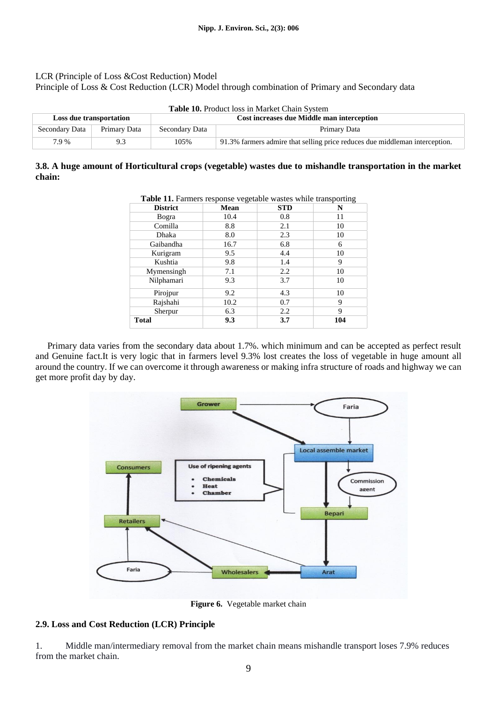### LCR (Principle of Loss &Cost Reduction) Model

Principle of Loss & Cost Reduction (LCR) Model through combination of Primary and Secondary data

| <b>Table 10.</b> Product loss in Market Chain System |              |                                            |                                                                             |  |  |
|------------------------------------------------------|--------------|--------------------------------------------|-----------------------------------------------------------------------------|--|--|
| Loss due transportation                              |              | Cost increases due Middle man interception |                                                                             |  |  |
| Secondary Data                                       | Primary Data | Secondary Data                             | Primary Data                                                                |  |  |
| 7.9 %                                                | 9.3          | 105%                                       | 91.3% farmers admire that selling price reduces due middleman interception. |  |  |

## **3.8. A huge amount of Horticultural crops (vegetable) wastes due to mishandle transportation in the market chain:**

| <b>District</b> | <b>Mean</b> | <b>STD</b> | N   |
|-----------------|-------------|------------|-----|
| Bogra           | 10.4        | 0.8        | 11  |
| Comilla         | 8.8         | 2.1        | 10  |
| Dhaka           | 8.0         | 2.3        | 10  |
| Gaibandha       | 16.7        | 6.8        | 6   |
| Kurigram        | 9.5         | 4.4        | 10  |
| Kushtia         | 9.8         | 1.4        | 9   |
| Mymensingh      | 7.1         | 2.2        | 10  |
| Nilphamari      | 9.3         | 3.7        | 10  |
| Pirojpur        | 9.2         | 4.3        | 10  |
| Rajshahi        | 10.2        | 0.7        | 9   |
| Sherpur         | 6.3         | 2.2        | 9   |
| <b>Total</b>    | 9.3         | 3.7        | 104 |

**Table 11.** Farmers response vegetable wastes while transporting

Primary data varies from the secondary data about 1.7%. which minimum and can be accepted as perfect result and Genuine fact.It is very logic that in farmers level 9.3% lost creates the loss of vegetable in huge amount all around the country. If we can overcome it through awareness or making infra structure of roads and highway we can get more profit day by day.



**Figure 6.** Vegetable market chain

## **2.9. Loss and Cost Reduction (LCR) Principle**

1. Middle man/intermediary removal from the market chain means mishandle transport loses 7.9% reduces from the market chain.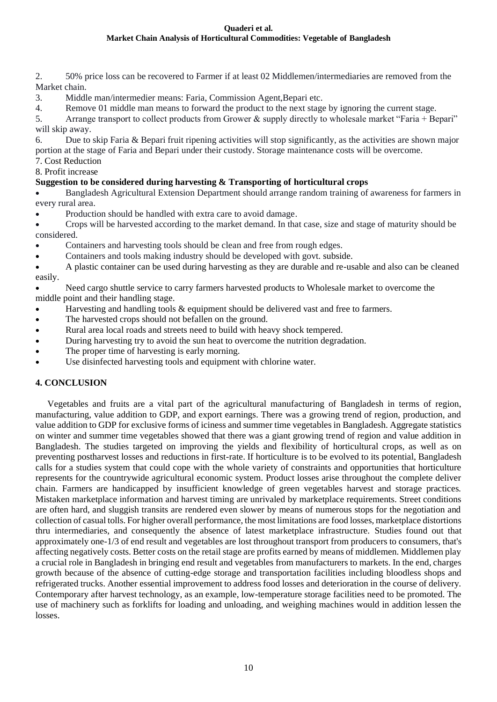- 2. 50% price loss can be recovered to Farmer if at least 02 Middlemen/intermediaries are removed from the Market chain.
- 3. Middle man/intermedier means: Faria, Commission Agent,Bepari etc.
- 4. Remove 01 middle man means to forward the product to the next stage by ignoring the current stage.
- 5. Arrange transport to collect products from Grower & supply directly to wholesale market "Faria + Bepari" will skip away.

6. Due to skip Faria & Bepari fruit ripening activities will stop significantly, as the activities are shown major portion at the stage of Faria and Bepari under their custody. Storage maintenance costs will be overcome.

- 7. Cost Reduction
- 8. Profit increase

# **Suggestion to be considered during harvesting & Transporting of horticultural crops**

• Bangladesh Agricultural Extension Department should arrange random training of awareness for farmers in every rural area.

• Production should be handled with extra care to avoid damage.

• Crops will be harvested according to the market demand. In that case, size and stage of maturity should be considered.

- Containers and harvesting tools should be clean and free from rough edges.
- Containers and tools making industry should be developed with govt. subside.

• A plastic container can be used during harvesting as they are durable and re-usable and also can be cleaned easily.

• Need cargo shuttle service to carry farmers harvested products to Wholesale market to overcome the middle point and their handling stage.

- Harvesting and handling tools & equipment should be delivered vast and free to farmers.
- The harvested crops should not befallen on the ground.
- Rural area local roads and streets need to build with heavy shock tempered.
- During harvesting try to avoid the sun heat to overcome the nutrition degradation.
- The proper time of harvesting is early morning.
- Use disinfected harvesting tools and equipment with chlorine water.

# **4. CONCLUSION**

Vegetables and fruits are a vital part of the agricultural manufacturing of Bangladesh in terms of region, manufacturing, value addition to GDP, and export earnings. There was a growing trend of region, production, and value addition to GDP for exclusive forms of iciness and summer time vegetables in Bangladesh. Aggregate statistics on winter and summer time vegetables showed that there was a giant growing trend of region and value addition in Bangladesh. The studies targeted on improving the yields and flexibility of horticultural crops, as well as on preventing postharvest losses and reductions in first-rate. If horticulture is to be evolved to its potential, Bangladesh calls for a studies system that could cope with the whole variety of constraints and opportunities that horticulture represents for the countrywide agricultural economic system. Product losses arise throughout the complete deliver chain. Farmers are handicapped by insufficient knowledge of green vegetables harvest and storage practices. Mistaken marketplace information and harvest timing are unrivaled by marketplace requirements. Street conditions are often hard, and sluggish transits are rendered even slower by means of numerous stops for the negotiation and collection of casual tolls. For higher overall performance, the most limitations are food losses, marketplace distortions thru intermediaries, and consequently the absence of latest marketplace infrastructure. Studies found out that approximately one-1/3 of end result and vegetables are lost throughout transport from producers to consumers, that's affecting negatively costs. Better costs on the retail stage are profits earned by means of middlemen. Middlemen play a crucial role in Bangladesh in bringing end result and vegetables from manufacturers to markets. In the end, charges growth because of the absence of cutting-edge storage and transportation facilities including bloodless shops and refrigerated trucks. Another essential improvement to address food losses and deterioration in the course of delivery. Contemporary after harvest technology, as an example, low-temperature storage facilities need to be promoted. The use of machinery such as forklifts for loading and unloading, and weighing machines would in addition lessen the losses.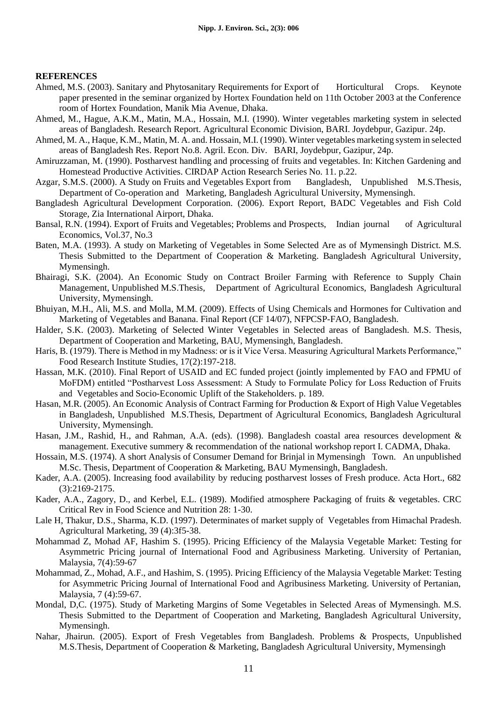### **REFERENCES**

- Ahmed, M.S. (2003). Sanitary and Phytosanitary Requirements for Export of Horticultural Crops. Keynote paper presented in the seminar organized by Hortex Foundation held on 11th October 2003 at the Conference room of Hortex Foundation, Manik Mia Avenue, Dhaka.
- Ahmed, M., Hague, A.K.M., Matin, M.A., Hossain, M.I. (1990). Winter vegetables marketing system in selected areas of Bangladesh. Research Report. Agricultural Economic Division, BARI. Joydebpur, Gazipur. 24p.
- Ahmed, M. A., Haque, K.M., Matin, M. A. and. Hossain, M.I. (1990). Winter vegetables marketing system in selected areas of Bangladesh Res. Report No.8. Agril. Econ. Div. BARI, Joydebpur, Gazipur, 24p.
- Amiruzzaman, M. (1990). Postharvest handling and processing of fruits and vegetables. In: Kitchen Gardening and Homestead Productive Activities. CIRDAP Action Research Series No. 11. p.22.
- Azgar, S.M.S. (2000). A Study on Fruits and Vegetables Export from Bangladesh, Unpublished M.S.Thesis, Department of Co-operation and Marketing, Bangladesh Agricultural University, Mymensingh.
- Bangladesh Agricultural Development Corporation. (2006). Export Report, BADC Vegetables and Fish Cold Storage, Zia International Airport, Dhaka.
- Bansal, R.N. (1994). Export of Fruits and Vegetables; Problems and Prospects, Indian journal of Agricultural Economics, Vol.37, No.3
- Baten, M.A. (1993). A study on Marketing of Vegetables in Some Selected Are as of Mymensingh District. M.S. Thesis Submitted to the Department of Cooperation & Marketing. Bangladesh Agricultural University, Mymensingh.
- Bhairagi, S.K. (2004). An Economic Study on Contract Broiler Farming with Reference to Supply Chain Management, Unpublished M.S.Thesis, Department of Agricultural Economics, Bangladesh Agricultural University, Mymensingh.
- Bhuiyan, M.H., Ali, M.S. and Molla, M.M. (2009). Effects of Using Chemicals and Hormones for Cultivation and Marketing of Vegetables and Banana. Final Report (CF 14/07), NFPCSP-FAO, Bangladesh.
- Halder, S.K. (2003). Marketing of Selected Winter Vegetables in Selected areas of Bangladesh. M.S. Thesis, Department of Cooperation and Marketing, BAU, Mymensingh, Bangladesh.
- Haris, B. (1979). There is Method in my Madness: or is it Vice Versa. Measuring Agricultural Markets Performance," Food Research Institute Studies, 17(2):197-218.
- Hassan, M.K. (2010). Final Report of USAID and EC funded project (jointly implemented by FAO and FPMU of MoFDM) entitled "Postharvest Loss Assessment: A Study to Formulate Policy for Loss Reduction of Fruits and Vegetables and Socio-Economic Uplift of the Stakeholders. p. 189.
- Hasan, M.R. (2005). An Economic Analysis of Contract Farming for Production & Export of High Value Vegetables in Bangladesh, Unpublished M.S.Thesis, Department of Agricultural Economics, Bangladesh Agricultural University, Mymensingh.
- Hasan, J.M., Rashid, H., and Rahman, A.A. (eds). (1998). Bangladesh coastal area resources development & management. Executive summery & recommendation of the national workshop report I. CADMA, Dhaka.
- Hossain, M.S. (1974). A short Analysis of Consumer Demand for Brinjal in Mymensingh Town. An unpublished M.Sc. Thesis, Department of Cooperation & Marketing, BAU Mymensingh, Bangladesh.
- Kader, A.A. (2005). Increasing food availability by reducing postharvest losses of Fresh produce. Acta Hort., 682 (3):2169-2175.
- Kader, A.A., Zagory, D., and Kerbel, E.L. (1989). Modified atmosphere Packaging of fruits & vegetables. CRC Critical Rev in Food Science and Nutrition 28: 1-30.
- Lale H, Thakur, D.S., Sharma, K.D. (1997). Determinates of market supply of Vegetables from Himachal Pradesh. Agricultural Marketing, 39 (4):3f5-38.
- Mohammad Z, Mohad AF, Hashim S. (1995). Pricing Efficiency of the Malaysia Vegetable Market: Testing for Asymmetric Pricing journal of International Food and Agribusiness Marketing. University of Pertanian, Malaysia, 7(4):59-67
- Mohammad, Z., Mohad, A.F., and Hashim, S. (1995). Pricing Efficiency of the Malaysia Vegetable Market: Testing for Asymmetric Pricing Journal of International Food and Agribusiness Marketing. University of Pertanian, Malaysia, 7 (4):59-67.
- Mondal, D,C. (1975). Study of Marketing Margins of Some Vegetables in Selected Areas of Mymensingh. M.S. Thesis Submitted to the Department of Cooperation and Marketing, Bangladesh Agricultural University, Mymensingh.
- Nahar, Jhairun. (2005). Export of Fresh Vegetables from Bangladesh. Problems & Prospects, Unpublished M.S.Thesis, Department of Cooperation & Marketing, Bangladesh Agricultural University, Mymensingh